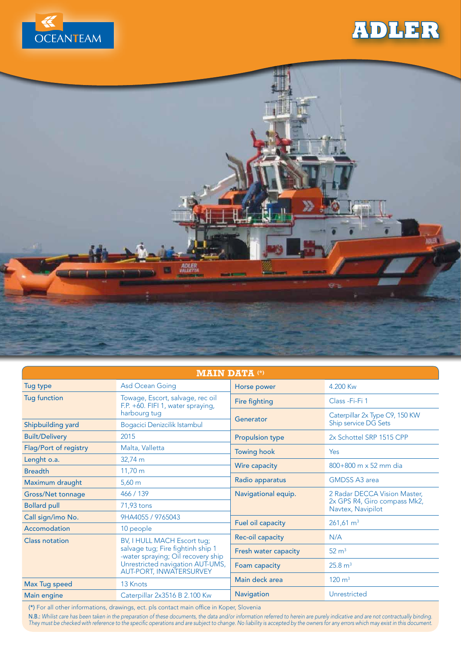

## **ADLER**



| <b>MAIN DATA (*)</b>     |                                                                                                                                                                       |                        |                                                                                   |
|--------------------------|-----------------------------------------------------------------------------------------------------------------------------------------------------------------------|------------------------|-----------------------------------------------------------------------------------|
| Tug type                 | Asd Ocean Going                                                                                                                                                       | Horse power            | 4.200 Kw                                                                          |
| <b>Tug function</b>      | Towage, Escort, salvage, rec oil<br>F.P. +60. FIFI 1, water spraying,<br>harbourg tug                                                                                 | Fire fighting          | Class - Fi-Fi 1                                                                   |
|                          |                                                                                                                                                                       | Generator              | Caterpillar 2x Type C9, 150 KW<br><b>Ship service DG Sets</b>                     |
| Shipbuilding yard        | Bogacici Denizcilik Istambul                                                                                                                                          |                        |                                                                                   |
| <b>Built/Delivery</b>    | 2015                                                                                                                                                                  | <b>Propulsion type</b> | 2x Schottel SRP 1515 CPP                                                          |
| Flag/Port of registry    | Malta, Valletta                                                                                                                                                       | <b>Towing hook</b>     | Yes                                                                               |
| Lenght o.a.              | 32,74 m                                                                                                                                                               | Wire capacity          | $800+800$ m x 52 mm dia                                                           |
| <b>Breadth</b>           | $11,70 \; m$                                                                                                                                                          |                        |                                                                                   |
| Maximum draught          | $5,60 \; \mathrm{m}$                                                                                                                                                  | Radio apparatus        | <b>GMDSS A3 area</b>                                                              |
| <b>Gross/Net tonnage</b> | 466 / 139                                                                                                                                                             | Navigational equip.    | 2 Radar DECCA Vision Master,<br>2x GPS R4, Giro compass Mk2,<br>Navtex, Navipilot |
| <b>Bollard pull</b>      | 71,93 tons                                                                                                                                                            |                        |                                                                                   |
| Call sign/imo No.        | 9HA4055 / 9765043                                                                                                                                                     | Fuel oil capacity      | $261,61 \text{ m}^3$                                                              |
| Accomodation             | 10 people                                                                                                                                                             |                        |                                                                                   |
| <b>Class notation</b>    | BV, I HULL MACH Escort tug;<br>salvage tug; Fire fightinh ship 1<br>-water spraying; Oil recovery ship<br>Unrestricted navigation AUT-UMS,<br>AUT-PORT, INWATERSURVEY | Rec-oil capacity       | N/A                                                                               |
|                          |                                                                                                                                                                       | Fresh water capacity   | $52 \text{ m}^3$                                                                  |
|                          |                                                                                                                                                                       | Foam capacity          | 25.8 m <sup>3</sup>                                                               |
| Max Tug speed            | 13 Knots                                                                                                                                                              | Main deck area         | $120 \text{ m}^3$                                                                 |
| Main engine              | Caterpillar 2x3516 B 2.100 Kw                                                                                                                                         | Navigation             | Unrestricted                                                                      |

(\*) For all other informations, drawings, ect. pls contact main office in Koper, Slovenia

N.B.: Whilist care has been taken in the preparation of these documents, the data and/or information referred to herein are purely indicative and are not contractually binding. They must be checked with reference to the specific operations and are subject to change. No liability is accepted by the owners for any errors which may exist in this document.